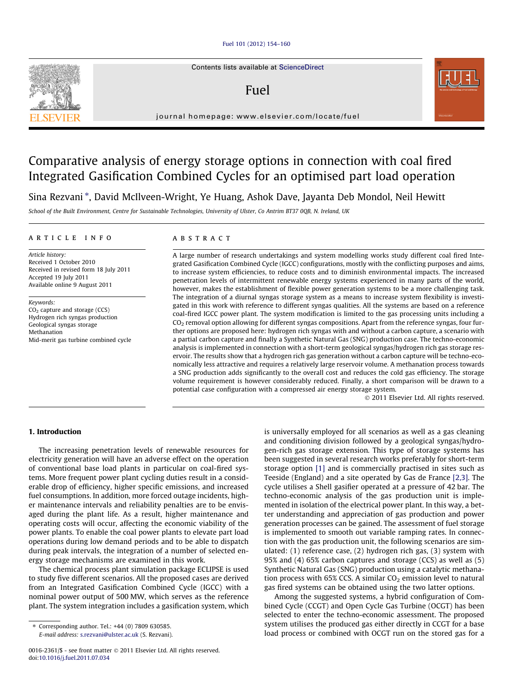# [Fuel 101 \(2012\) 154–160](http://dx.doi.org/10.1016/j.fuel.2011.07.034)



Contents lists available at [ScienceDirect](http://www.sciencedirect.com/science/journal/00162361)

# Fuel



journal homepage: [www.elsevier.com/locate/fuel](http://www.elsevier.com/locate/fuel)

# Comparative analysis of energy storage options in connection with coal fired Integrated Gasification Combined Cycles for an optimised part load operation

Sina Rezvani \*, David McIlveen-Wright, Ye Huang, Ashok Dave, Jayanta Deb Mondol, Neil Hewitt

School of the Built Environment, Centre for Sustainable Technologies, University of Ulster, Co Antrim BT37 0QB, N. Ireland, UK

#### article info

Article history: Received 1 October 2010 Received in revised form 18 July 2011 Accepted 19 July 2011 Available online 9 August 2011

Keywords:  $CO<sub>2</sub>$  capture and storage (CCS) Hydrogen rich syngas production Geological syngas storage Methanation Mid-merit gas turbine combined cycle

# ABSTRACT

A large number of research undertakings and system modelling works study different coal fired Integrated Gasification Combined Cycle (IGCC) configurations, mostly with the conflicting purposes and aims, to increase system efficiencies, to reduce costs and to diminish environmental impacts. The increased penetration levels of intermittent renewable energy systems experienced in many parts of the world, however, makes the establishment of flexible power generation systems to be a more challenging task. The integration of a diurnal syngas storage system as a means to increase system flexibility is investigated in this work with reference to different syngas qualities. All the systems are based on a reference coal-fired IGCC power plant. The system modification is limited to the gas processing units including a  $CO<sub>2</sub>$  removal option allowing for different syngas compositions. Apart from the reference syngas, four further options are proposed here: hydrogen rich syngas with and without a carbon capture, a scenario with a partial carbon capture and finally a Synthetic Natural Gas (SNG) production case. The techno-economic analysis is implemented in connection with a short-term geological syngas/hydrogen rich gas storage reservoir. The results show that a hydrogen rich gas generation without a carbon capture will be techno-economically less attractive and requires a relatively large reservoir volume. A methanation process towards a SNG production adds significantly to the overall cost and reduces the cold gas efficiency. The storage volume requirement is however considerably reduced. Finally, a short comparison will be drawn to a potential case configuration with a compressed air energy storage system.

- 2011 Elsevier Ltd. All rights reserved.

# 1. Introduction

The increasing penetration levels of renewable resources for electricity generation will have an adverse effect on the operation of conventional base load plants in particular on coal-fired systems. More frequent power plant cycling duties result in a considerable drop of efficiency, higher specific emissions, and increased fuel consumptions. In addition, more forced outage incidents, higher maintenance intervals and reliability penalties are to be envisaged during the plant life. As a result, higher maintenance and operating costs will occur, affecting the economic viability of the power plants. To enable the coal power plants to elevate part load operations during low demand periods and to be able to dispatch during peak intervals, the integration of a number of selected energy storage mechanisms are examined in this work.

The chemical process plant simulation package ECLIPSE is used to study five different scenarios. All the proposed cases are derived from an Integrated Gasification Combined Cycle (IGCC) with a nominal power output of 500 MW, which serves as the reference plant. The system integration includes a gasification system, which

⇑ Corresponding author. Tel.: +44 (0) 7809 630585. E-mail address: [s.rezvani@ulster.ac.uk](mailto:s.rezvani@ulster.ac.uk) (S. Rezvani). is universally employed for all scenarios as well as a gas cleaning and conditioning division followed by a geological syngas/hydrogen-rich gas storage extension. This type of storage systems has been suggested in several research works preferably for short-term storage option [\[1\]](#page-6-0) and is commercially practised in sites such as Teeside (England) and a site operated by Gas de France [\[2,3\]](#page-6-0). The cycle utilises a Shell gasifier operated at a pressure of 42 bar. The techno-economic analysis of the gas production unit is implemented in isolation of the electrical power plant. In this way, a better understanding and appreciation of gas production and power generation processes can be gained. The assessment of fuel storage is implemented to smooth out variable ramping rates. In connection with the gas production unit, the following scenarios are simulated: (1) reference case, (2) hydrogen rich gas, (3) system with 95% and (4) 65% carbon captures and storage (CCS) as well as (5) Synthetic Natural Gas (SNG) production using a catalytic methanation process with 65% CCS. A similar  $CO<sub>2</sub>$  emission level to natural gas fired systems can be obtained using the two latter options.

Among the suggested systems, a hybrid configuration of Combined Cycle (CCGT) and Open Cycle Gas Turbine (OCGT) has been selected to enter the techno-economic assessment. The proposed system utilises the produced gas either directly in CCGT for a base load process or combined with OCGT run on the stored gas for a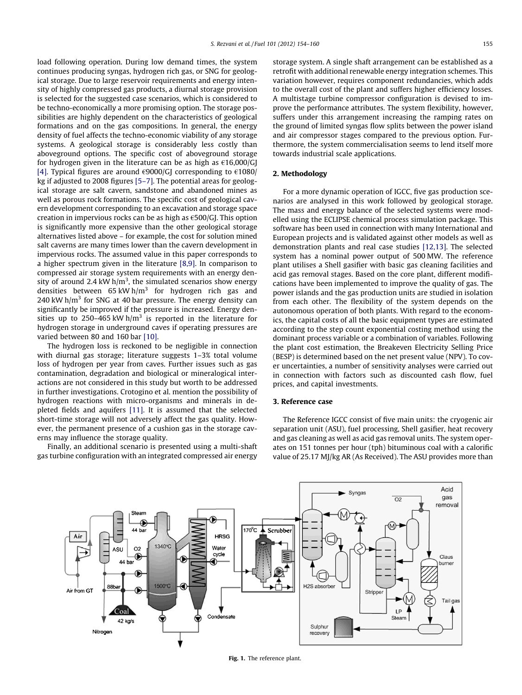<span id="page-1-0"></span>load following operation. During low demand times, the system continues producing syngas, hydrogen rich gas, or SNG for geological storage. Due to large reservoir requirements and energy intensity of highly compressed gas products, a diurnal storage provision is selected for the suggested case scenarios, which is considered to be techno-economically a more promising option. The storage possibilities are highly dependent on the characteristics of geological formations and on the gas compositions. In general, the energy density of fuel affects the techno-economic viability of any storage systems. A geological storage is considerably less costly than aboveground options. The specific cost of aboveground storage for hydrogen given in the literature can be as high as  $\epsilon$ 16,000/GJ [\[4\]](#page-6-0). Typical figures are around  $\epsilon$ 9000/GJ corresponding to  $\epsilon$ 1080/ kg if adjusted to 2008 figures [\[5–7\].](#page-6-0) The potential areas for geological storage are salt cavern, sandstone and abandoned mines as well as porous rock formations. The specific cost of geological cavern development corresponding to an excavation and storage space creation in impervious rocks can be as high as  $\epsilon$ 500/GJ. This option is significantly more expensive than the other geological storage alternatives listed above – for example, the cost for solution mined salt caverns are many times lower than the cavern development in impervious rocks. The assumed value in this paper corresponds to a higher spectrum given in the literature [\[8,9\].](#page-6-0) In comparison to compressed air storage system requirements with an energy density of around 2.4 kW  $h/m<sup>3</sup>$ , the simulated scenarios show energy densities between  $65 \text{ kW h/m}^3$  for hydrogen rich gas and 240 kW h/m<sup>3</sup> for SNG at 40 bar pressure. The energy density can significantly be improved if the pressure is increased. Energy densities up to 250–465 kW h/m<sup>3</sup> is reported in the literature for hydrogen storage in underground caves if operating pressures are varied between 80 and 160 bar [\[10\]](#page-6-0).

The hydrogen loss is reckoned to be negligible in connection with diurnal gas storage; literature suggests 1–3% total volume loss of hydrogen per year from caves. Further issues such as gas contamination, degradation and biological or mineralogical interactions are not considered in this study but worth to be addressed in further investigations. Crotogino et al. mention the possibility of hydrogen reactions with micro-organisms and minerals in depleted fields and aquifers [\[11\]](#page-6-0). It is assumed that the selected short-time storage will not adversely affect the gas quality. However, the permanent presence of a cushion gas in the storage caverns may influence the storage quality.

Finally, an additional scenario is presented using a multi-shaft gas turbine configuration with an integrated compressed air energy storage system. A single shaft arrangement can be established as a retrofit with additional renewable energy integration schemes. This variation however, requires component redundancies, which adds to the overall cost of the plant and suffers higher efficiency losses. A multistage turbine compressor configuration is devised to improve the performance attributes. The system flexibility, however, suffers under this arrangement increasing the ramping rates on the ground of limited syngas flow splits between the power island and air compressor stages compared to the previous option. Furthermore, the system commercialisation seems to lend itself more towards industrial scale applications.

# 2. Methodology

For a more dynamic operation of IGCC, five gas production scenarios are analysed in this work followed by geological storage. The mass and energy balance of the selected systems were modelled using the ECLIPSE chemical process simulation package. This software has been used in connection with many International and European projects and is validated against other models as well as demonstration plants and real case studies [\[12,13\]](#page-6-0). The selected system has a nominal power output of 500 MW. The reference plant utilises a Shell gasifier with basic gas cleaning facilities and acid gas removal stages. Based on the core plant, different modifications have been implemented to improve the quality of gas. The power islands and the gas production units are studied in isolation from each other. The flexibility of the system depends on the autonomous operation of both plants. With regard to the economics, the capital costs of all the basic equipment types are estimated according to the step count exponential costing method using the dominant process variable or a combination of variables. Following the plant cost estimation, the Breakeven Electricity Selling Price (BESP) is determined based on the net present value (NPV). To cover uncertainties, a number of sensitivity analyses were carried out in connection with factors such as discounted cash flow, fuel prices, and capital investments.

# 3. Reference case

The Reference IGCC consist of five main units: the cryogenic air separation unit (ASU), fuel processing, Shell gasifier, heat recovery and gas cleaning as well as acid gas removal units. The system operates on 151 tonnes per hour (tph) bituminous coal with a calorific value of 25.17 MJ/kg AR (As Received). The ASU provides more than



Fig. 1. The reference plant.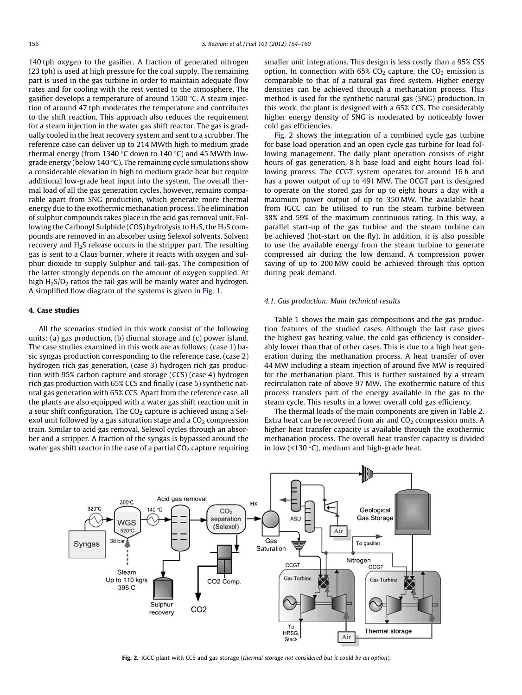140 tph oxygen to the gasifier. A fraction of generated nitrogen (23 tph) is used at high pressure for the coal supply. The remaining part is used in the gas turbine in order to maintain adequate flow rates and for cooling with the rest vented to the atmosphere. The gasifier develops a temperature of around 1500 °C. A steam injection of around 47 tph moderates the temperature and contributes to the shift reaction. This approach also reduces the requirement for a steam injection in the water gas shift reactor. The gas is gradually cooled in the heat recovery system and sent to a scrubber. The reference case can deliver up to 214 MWth high to medium grade thermal energy (from 1340  $\degree$ C down to 140  $\degree$ C) and 45 MWth lowgrade energy (below 140  $\degree$ C). The remaining cycle simulations show a considerable elevation in high to medium grade heat but require additional low-grade heat input into the system. The overall thermal load of all the gas generation cycles, however, remains comparable apart from SNG production, which generate more thermal energy due to the exothermic methanation process. The elimination of sulphur compounds takes place in the acid gas removal unit. Following the Carbonyl Sulphide (COS) hydrolysis to  $H_2S$ , the  $H_2S$  compounds are removed in an absorber using Selexol solvents. Solvent recovery and H2S release occurs in the stripper part. The resulting gas is sent to a Claus burner, where it reacts with oxygen and sulphur dioxide to supply Sulphur and tail-gas. The composition of the latter strongly depends on the amount of oxygen supplied. At high  $H<sub>2</sub>S/O<sub>2</sub>$  ratios the tail gas will be mainly water and hydrogen. A simplified flow diagram of the systems is given in [Fig. 1.](#page-1-0)

# 4. Case studies

All the scenarios studied in this work consist of the following units: (a) gas production, (b) diurnal storage and (c) power island. The case studies examined in this work are as follows: (case 1) basic syngas production corresponding to the reference case, (case 2) hydrogen rich gas generation, (case 3) hydrogen rich gas production with 95% carbon capture and storage (CCS) (case 4) hydrogen rich gas production with 65% CCS and finally (case 5) synthetic natural gas generation with 65% CCS. Apart from the reference case, all the plants are also equipped with a water gas shift reaction unit in a sour shift configuration. The  $CO<sub>2</sub>$  capture is achieved using a Selexol unit followed by a gas saturation stage and a  $CO<sub>2</sub>$  compression train. Similar to acid gas removal, Selexol cycles through an absorber and a stripper. A fraction of the syngas is bypassed around the water gas shift reactor in the case of a partial  $CO<sub>2</sub>$  capture requiring smaller unit integrations. This design is less costly than a 95% CSS option. In connection with  $65\%$  CO<sub>2</sub> capture, the CO<sub>2</sub> emission is comparable to that of a natural gas fired system. Higher energy densities can be achieved through a methanation process. This method is used for the synthetic natural gas (SNG) production. In this work, the plant is designed with a 65% CCS. The considerably higher energy density of SNG is moderated by noticeably lower cold gas efficiencies.

Fig. 2 shows the integration of a combined cycle gas turbine for base load operation and an open cycle gas turbine for load following management. The daily plant operation consists of eight hours of gas generation, 8 h base load and eight hours load following process. The CCGT system operates for around 16 h and has a power output of up to 491 MW. The OCGT part is designed to operate on the stored gas for up to eight hours a day with a maximum power output of up to 350 MW. The available heat from IGCC can be utilised to run the steam turbine between 38% and 59% of the maximum continuous rating. In this way, a parallel start-up of the gas turbine and the steam turbine can be achieved (hot-start on the fly). In addition, it is also possible to use the available energy from the steam turbine to generate compressed air during the low demand. A compression power saving of up to 200 MW could be achieved through this option during peak demand.

#### 4.1. Gas production: Main technical results

[Table 1](#page-3-0) shows the main gas compositions and the gas production features of the studied cases. Although the last case gives the highest gas heating value, the cold gas efficiency is considerably lower than that of other cases. This is due to a high heat generation during the methanation process. A heat transfer of over 44 MW including a steam injection of around five MW is required for the methanation plant. This is further sustained by a stream recirculation rate of above 97 MW. The exothermic nature of this process transfers part of the energy available in the gas to the steam cycle. This results in a lower overall cold gas efficiency.

The thermal loads of the main components are given in [Table 2.](#page-3-0) Extra heat can be recovered from air and  $CO<sub>2</sub>$  compression units. A higher heat transfer capacity is available through the exothermic methanation process. The overall heat transfer capacity is divided in low (<130 $\degree$ C), medium and high-grade heat.



Fig. 2. IGCC plant with CCS and gas storage (thermal storage not considered but it could be an option).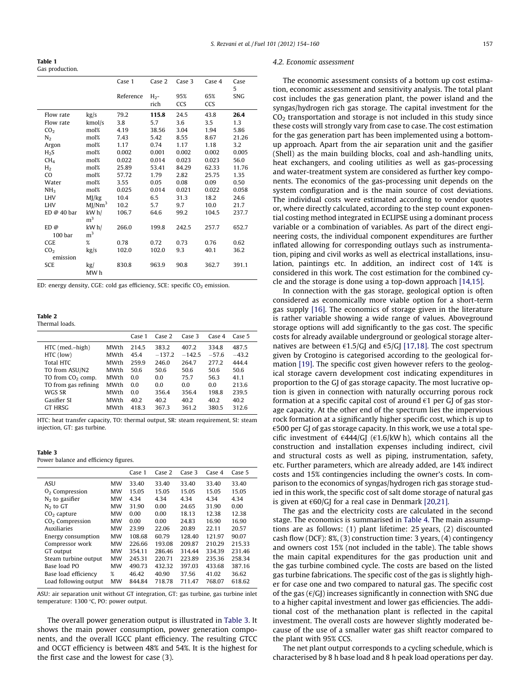<span id="page-3-0"></span>

|                    |                    | Case 1    | Case 2    | Case 3 | Case 4 | Case<br>5  |
|--------------------|--------------------|-----------|-----------|--------|--------|------------|
|                    |                    | Reference | $H_{2}$ - | 95%    | 65%    | <b>SNG</b> |
|                    |                    |           | rich      | CCS    | CCS    |            |
| Flow rate          | kg/s               | 79.2      | 115.8     | 24.5   | 43.8   | 26.4       |
| Flow rate          | kmol/s             | 3.8       | 5.7       | 3.6    | 3.5    | 1.3        |
| CO <sub>2</sub>    | mol%               | 4.19      | 38.56     | 3.04   | 1.94   | 5.86       |
| N <sub>2</sub>     | mol%               | 7.43      | 5.42      | 8.55   | 8.67   | 21.26      |
| Argon              | mol%               | 1.17      | 0.74      | 1.17   | 1.18   | 3.2        |
| $H_2S$             | mol%               | 0.002     | 0.001     | 0.002  | 0.002  | 0.005      |
| CH <sub>4</sub>    | mol%               | 0.022     | 0.014     | 0.023  | 0.023  | 56.0       |
| H <sub>2</sub>     | mol%               | 25.89     | 53.41     | 84.29  | 62.33  | 11.76      |
| CO                 | mol%               | 57.72     | 1.79      | 2.82   | 25.75  | 1.35       |
| Water              | mol%               | 3.55      | 0.05      | 0.08   | 0.09   | 0.50       |
| NH <sub>3</sub>    | mol%               | 0.025     | 0.014     | 0.021  | 0.022  | 0.058      |
| LHV                | M1/kg              | 10.4      | 6.5       | 31.3   | 18.2   | 24.6       |
| LHV                | MJ/Nm <sup>3</sup> | 10.2      | 5.7       | 9.7    | 10.0   | 21.7       |
| $ED@40$ bar        | kW h/              | 106.7     | 64.6      | 99.2   | 104.5  | 237.7      |
|                    | m <sup>3</sup>     |           |           |        |        |            |
| ED@                | kW h/              | 266.0     | 199.8     | 242.5  | 257.7  | 652.7      |
| 100 <sub>bar</sub> | m <sup>3</sup>     |           |           |        |        |            |
| <b>CGE</b>         | %                  | 0.78      | 0.72      | 0.73   | 0.76   | 0.62       |
| CO <sub>2</sub>    | kg/s               | 102.0     | 102.0     | 9.3    | 40.1   | 36.2       |
| emission           |                    |           |           |        |        |            |
| <b>SCE</b>         | kg/                | 830.8     | 963.9     | 90.8   | 362.7  | 391.1      |
|                    | MW h               |           |           |        |        |            |
|                    |                    |           |           |        |        |            |

ED: energy density, CGE: cold gas efficiency, SCE: specific  $CO<sub>2</sub>$  emission.

#### Table 2

Thermal loads.

|                                                                                                                                                      |                                                                                                        | Case 1                                                      | Case 2                                                            | Case 3                                                             | Case 4                                                            | Case 5                                                              |
|------------------------------------------------------------------------------------------------------------------------------------------------------|--------------------------------------------------------------------------------------------------------|-------------------------------------------------------------|-------------------------------------------------------------------|--------------------------------------------------------------------|-------------------------------------------------------------------|---------------------------------------------------------------------|
| HTC (med.-high)<br>HTC (low)<br><b>Total HTC</b><br>TO from ASU/N2<br>TO from CO <sub>2</sub> comp.<br>TO from gas refining<br>WGS SR<br>Gasifier SI | MWth<br>MWth<br><b>MWth</b><br><b>MWth</b><br><b>MWth</b><br><b>MWth</b><br><b>MWth</b><br><b>MWth</b> | 214.5<br>45.4<br>259.9<br>50.6<br>0.0<br>0.0<br>0.0<br>40.2 | 383.2<br>$-137.2$<br>246.0<br>50.6<br>0.0<br>0.0<br>356.4<br>40.2 | 407.2<br>$-142.5$<br>264.7<br>50.6<br>75.7<br>0.0<br>356.4<br>40.2 | 334.8<br>$-57.6$<br>277.2<br>50.6<br>56.3<br>0.0<br>198.8<br>40.2 | 487.5<br>$-43.2$<br>444.4<br>50.6<br>41.1<br>213.6<br>239.5<br>40.2 |
| GT HRSG                                                                                                                                              | <b>MWth</b>                                                                                            | 418.3                                                       | 367.3                                                             | 361.2                                                              | 380.5                                                             | 312.6                                                               |
|                                                                                                                                                      |                                                                                                        |                                                             |                                                                   |                                                                    |                                                                   |                                                                     |

HTC: heat transfer capacity, TO: thermal output, SR: steam requirement, SI: steam injection, GT: gas turbine.

#### Table 3

Power balance and efficiency figures.

| Case 2<br>Case 1 | Case 3 | Case 4 | Case 5 |
|------------------|--------|--------|--------|
| 33.40<br>33.40   | 33.40  | 33.40  | 33.40  |
| 15.05<br>15.05   | 15.05  | 15.05  | 15.05  |
| 4.34<br>4.34     | 4.34   | 4.34   | 4.34   |
| 31.90<br>0.00    | 24.65  | 31.90  | 0.00   |
| 0.00<br>0.00     | 18.13  | 12.38  | 12.38  |
| 0.00<br>0.00     | 24.83  | 16.90  | 16.90  |
| 23.99<br>22.06   | 20.89  | 22.11  | 20.57  |
| 108.68<br>60.79  | 128.40 | 121.97 | 90.07  |
| 193.08<br>226.66 | 209.87 | 210.29 | 215.33 |
| 354.11<br>286.46 | 314.44 | 334.39 | 231.46 |
| 245.31<br>220.71 | 223.89 | 235.36 | 258.34 |
| 490.73<br>432.32 | 397.03 | 433.68 | 387.16 |
| 46.42<br>40.90   | 37.56  | 41.02  | 36.62  |
| 844.84<br>718.78 | 711.47 | 768.07 | 618.62 |
|                  |        |        |        |

ASU: air separation unit without GT integration, GT: gas turbine, gas turbine inlet temperature: 1300 °C, PO: power output.

The overall power generation output is illustrated in Table 3. It shows the main power consumption, power generation components, and the overall IGCC plant efficiency. The resulting GTCC and OCGT efficiency is between 48% and 54%. It is the highest for the first case and the lowest for case (3).

#### 4.2. Economic assessment

The economic assessment consists of a bottom up cost estimation, economic assessment and sensitivity analysis. The total plant cost includes the gas generation plant, the power island and the syngas/hydrogen rich gas storage. The capital investment for the  $CO<sub>2</sub>$  transportation and storage is not included in this study since these costs will strongly vary from case to case. The cost estimation for the gas generation part has been implemented using a bottomup approach. Apart from the air separation unit and the gasifier (Shell) as the main building blocks, coal and ash-handling units, heat exchangers, and cooling utilities as well as gas-processing and water-treatment system are considered as further key components. The economics of the gas-processing unit depends on the system configuration and is the main source of cost deviations. The individual costs were estimated according to vendor quotes or, where directly calculated, according to the step count exponential costing method integrated in ECLIPSE using a dominant process variable or a combination of variables. As part of the direct engineering costs, the individual component expenditures are further inflated allowing for corresponding outlays such as instrumentation, piping and civil works as well as electrical installations, insulation, paintings etc. In addition, an indirect cost of 14% is considered in this work. The cost estimation for the combined cycle and the storage is done using a top-down approach [\[14,15\].](#page-6-0)

In connection with the gas storage, geological option is often considered as economically more viable option for a short-term gas supply [\[16\].](#page-6-0) The economics of storage given in the literature is rather variable showing a wide range of values. Aboveground storage options will add significantly to the gas cost. The specific costs for already available underground or geological storage alternatives are between  $\epsilon$ 1.5/GJ and  $\epsilon$ 5/GJ [\[17,18\].](#page-6-0) The cost spectrum given by Crotogino is categorised according to the geological formation [\[19\].](#page-6-0) The specific cost given however refers to the geological storage cavern development cost indicating expenditures in proportion to the GJ of gas storage capacity. The most lucrative option is given in connection with naturally occurring porous rock formation at a specific capital cost of around  $\epsilon$ 1 per GI of gas storage capacity. At the other end of the spectrum lies the impervious rock formation at a significantly higher specific cost, which is up to  $\epsilon$ 500 per GJ of gas storage capacity. In this work, we use a total specific investment of  $\epsilon$ 444/GJ ( $\epsilon$ 1.6/kW h), which contains all the construction and installation expenses including indirect, civil and structural costs as well as piping, instrumentation, safety, etc. Further parameters, which are already added, are 14% indirect costs and 15% contingencies including the owner's costs. In comparison to the economics of syngas/hydrogen rich gas storage studied in this work, the specific cost of salt dome storage of natural gas is given at  $\epsilon$ 60/GJ for a real case in Denmark [\[20,21\].](#page-6-0)

The gas and the electricity costs are calculated in the second stage. The economics is summarised in [Table 4](#page-4-0). The main assumptions are as follows: (1) plant lifetime: 25 years, (2) discounted cash flow (DCF): 8%, (3) construction time: 3 years, (4) contingency and owners cost 15% (not included in the table). The table shows the main capital expenditures for the gas production unit and the gas turbine combined cycle. The costs are based on the listed gas turbine fabrications. The specific cost of the gas is slightly higher for case one and two compared to natural gas. The specific cost of the gas  $(\epsilon/G)$  increases significantly in connection with SNG due to a higher capital investment and lower gas efficiencies. The additional cost of the methanation plant is reflected in the capital investment. The overall costs are however slightly moderated because of the use of a smaller water gas shift reactor compared to the plant with 95% CCS.

The net plant output corresponds to a cycling schedule, which is characterised by 8 h base load and 8 h peak load operations per day.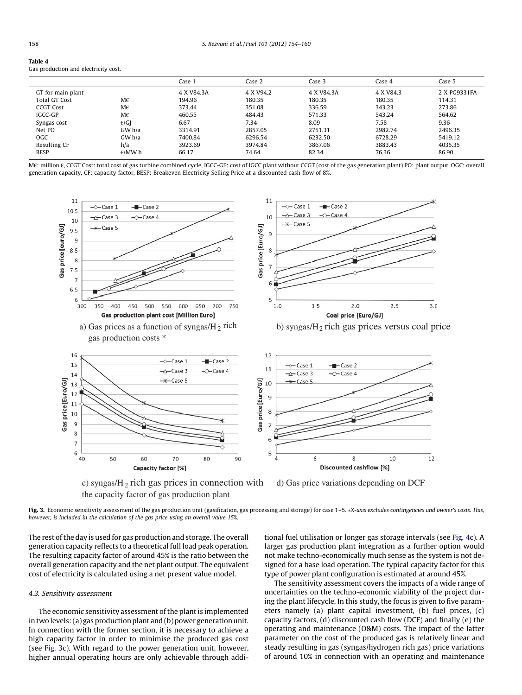<span id="page-4-0"></span>

| Table 4                              |  |
|--------------------------------------|--|
| Gas production and electricity cost. |  |

|                      |                    | Case 1     | Case 2    | Case 3     | Case 4    | Case 5       |
|----------------------|--------------------|------------|-----------|------------|-----------|--------------|
| GT for main plant    |                    | 4 X V84.3A | 4 X V94.2 | 4 X V84.3A | 4 X V84.3 | 2 X PG9331FA |
| <b>Total GT Cost</b> | M€                 | 194.96     | 180.35    | 180.35     | 180.35    | 114.31       |
| <b>CCGT Cost</b>     | M€                 | 373.44     | 351.08    | 336.59     | 343.23    | 273.86       |
| IGCC-GP              | M€                 | 460.55     | 484.43    | 571.33     | 543.24    | 564.62       |
| Syngas cost          | $\varepsilon$ /GJ  | 6.67       | 7.34      | 8.09       | 7.58      | 9.36         |
| Net PO               | GW <sub>h/a</sub>  | 3314.91    | 2857.05   | 2751.31    | 2982.74   | 2496.35      |
| <b>OGC</b>           | GW <sub>h</sub> /a | 7400.84    | 6296.54   | 6232.50    | 6728.29   | 5419.12      |
| Resulting CF         | h/a                | 3923.69    | 3974.84   | 3867.06    | 3883.43   | 4035.35      |
| <b>BESP</b>          | $\epsilon$ /MW h   | 66.17      | 74.64     | 82.34      | 76.36     | 86.90        |

M€: million €, CCGT Cost: total cost of gas turbine combined cycle, IGCC-GP: cost of IGCC plant without CCGT (cost of the gas generation plant) PO: plant output, OGC: overall generation capacity, CF: capacity factor, BESP: Breakeven Electricity Selling Price at a discounted cash flow of 8%.



c) syngas/ $H_2$  rich gas prices in connection with the capacity factor of gas production plant

d) Gas price variations depending on DCF

Fig. 3. Economic sensitivity assessment of the gas production unit (gasification, gas processing and storage) for case 1-5. \*X-axis excludes contingencies and owner's costs. This, however, is included in the calculation of the gas price using an overall value 15%.

The rest of the day is used for gas production and storage. The overall generation capacity reflects to a theoretical full load peak operation. The resulting capacity factor of around 45% is the ratio between the overall generation capacity and the net plant output. The equivalent cost of electricity is calculated using a net present value model.

#### 4.3. Sensitivity assessment

The economic sensitivity assessment of the plant is implemented in two levels: (a) gas production plant and (b) power generation unit. In connection with the former section, it is necessary to achieve a high capacity factor in order to minimise the produced gas cost (see Fig. 3c). With regard to the power generation unit, however, higher annual operating hours are only achievable through additional fuel utilisation or longer gas storage intervals (see [Fig. 4](#page-5-0)c). A larger gas production plant integration as a further option would not make techno-economically much sense as the system is not designed for a base load operation. The typical capacity factor for this type of power plant configuration is estimated at around 45%.

The sensitivity assessment covers the impacts of a wide range of uncertainties on the techno-economic viability of the project during the plant lifecycle. In this study, the focus is given to five parameters namely (a) plant capital investment, (b) fuel prices, (c) capacity factors, (d) discounted cash flow (DCF) and finally (e) the operating and maintenance (O&M) costs. The impact of the latter parameter on the cost of the produced gas is relatively linear and steady resulting in gas (syngas/hydrogen rich gas) price variations of around 10% in connection with an operating and maintenance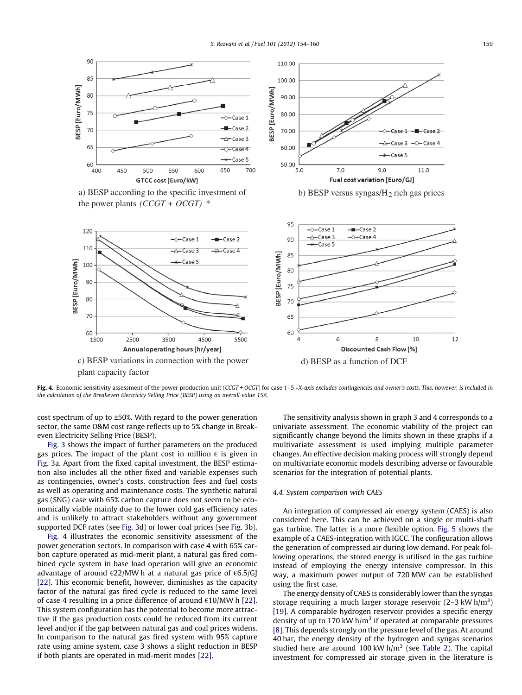<span id="page-5-0"></span>

a) BESP according to the specific investment of the power plants *(CCGT + OCGT)* \*





Fig. 4. Economic sensitivity assessment of the power production unit (CCGT + OCGT) for case  $1-5$  \*X-axis excludes contingencies and owner's costs. This, however, is included in the calculation of the Breakeven Electricity Selling Price (BESP) using an overall value 15%.

cost spectrum of up to ±50%. With regard to the power generation sector, the same O&M cost range reflects up to 5% change in Breakeven Electricity Selling Price (BESP).

[Fig. 3](#page-4-0) shows the impact of further parameters on the produced gas prices. The impact of the plant cost in million  $\epsilon$  is given in [Fig. 3](#page-4-0)a. Apart from the fixed capital investment, the BESP estimation also includes all the other fixed and variable expenses such as contingencies, owner's costs, construction fees and fuel costs as well as operating and maintenance costs. The synthetic natural gas (SNG) case with 65% carbon capture does not seem to be economically viable mainly due to the lower cold gas efficiency rates and is unlikely to attract stakeholders without any government supported DCF rates (see [Fig. 3](#page-4-0)d) or lower coal prices (see [Fig. 3b](#page-4-0)).

Fig. 4 illustrates the economic sensitivity assessment of the power generation sectors. In comparison with case 4 with 65% carbon capture operated as mid-merit plant, a natural gas fired combined cycle system in base load operation will give an economic advantage of around  $\epsilon$ 22/MW h at a natural gas price of  $\epsilon$ 6.5/GJ [\[22\].](#page-6-0) This economic benefit, however, diminishes as the capacity factor of the natural gas fired cycle is reduced to the same level of case 4 resulting in a price difference of around  $\epsilon$ 10/MW h [\[22\].](#page-6-0) This system configuration has the potential to become more attractive if the gas production costs could be reduced from its current level and/or if the gap between natural gas and coal prices widens. In comparison to the natural gas fired system with 95% capture rate using amine system, case 3 shows a slight reduction in BESP if both plants are operated in mid-merit modes [\[22\].](#page-6-0)

The sensitivity analysis shown in graph 3 and 4 corresponds to a univariate assessment. The economic viability of the project can significantly change beyond the limits shown in these graphs if a multivariate assessment is used implying multiple parameter changes. An effective decision making process will strongly depend on multivariate economic models describing adverse or favourable scenarios for the integration of potential plants.

#### 4.4. System comparison with CAES

An integration of compressed air energy system (CAES) is also considered here. This can be achieved on a single or multi-shaft gas turbine. The latter is a more flexible option. [Fig. 5](#page-6-0) shows the example of a CAES-integration with IGCC. The configuration allows the generation of compressed air during low demand. For peak following operations, the stored energy is utilised in the gas turbine instead of employing the energy intensive compressor. In this way, a maximum power output of 720 MW can be established using the first case.

The energy density of CAES is considerably lower than the syngas storage requiring a much larger storage reservoir (2–3 kW h/m<sup>3</sup>) [\[19\]](#page-6-0). A comparable hydrogen reservoir provides a specific energy density of up to 170 kW  $h/m<sup>3</sup>$  if operated at comparable pressures [\[8\]](#page-6-0). This depends strongly on the pressure level of the gas. At around 40 bar, the energy density of the hydrogen and syngas scenarios studied here are around 100 kW  $h/m<sup>3</sup>$  (see [Table 2](#page-3-0)). The capital investment for compressed air storage given in the literature is